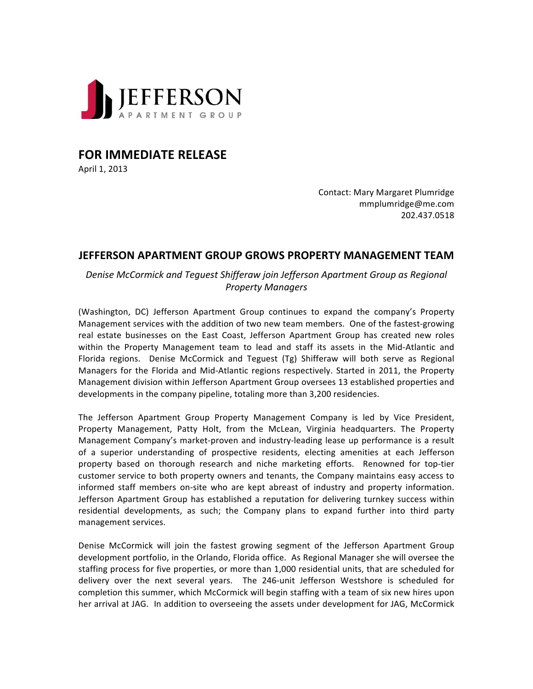

**FOR IMMEDIATE RELEASE** 

April 1, 2013

Contact: Mary Margaret Plumridge mmplumridge@me.com 202.437.0518

## **JEFFERSON APARTMENT GROUP GROWS PROPERTY MANAGEMENT TEAM**

*Denise McCormick and Teguest Shifferaw join Jefferson Apartment Group as Regional Property Managers*

(Washington, DC) Jefferson Apartment Group continues to expand the company's Property Management services with the addition of two new team members. One of the fastest-growing real estate businesses on the East Coast, Jefferson Apartment Group has created new roles within the Property Management team to lead and staff its assets in the Mid-Atlantic and Florida regions. Denise McCormick and Teguest (Tg) Shifferaw will both serve as Regional Managers for the Florida and Mid-Atlantic regions respectively. Started in 2011, the Property Management division within Jefferson Apartment Group oversees 13 established properties and developments in the company pipeline, totaling more than 3,200 residencies.

The Jefferson Apartment Group Property Management Company is led by Vice President, Property Management, Patty Holt, from the McLean, Virginia headquarters. The Property Management Company's market-proven and industry-leading lease up performance is a result of a superior understanding of prospective residents, electing amenities at each Jefferson property based on thorough research and niche marketing efforts. Renowned for top-tier customer service to both property owners and tenants, the Company maintains easy access to informed staff members on-site who are kept abreast of industry and property information. Jefferson Apartment Group has established a reputation for delivering turnkey success within residential developments, as such; the Company plans to expand further into third party management services.

Denise McCormick will join the fastest growing segment of the Jefferson Apartment Group development portfolio, in the Orlando, Florida office. As Regional Manager she will oversee the staffing process for five properties, or more than 1,000 residential units, that are scheduled for delivery over the next several years. The 246-unit Jefferson Westshore is scheduled for completion this summer, which McCormick will begin staffing with a team of six new hires upon her arrival at JAG. In addition to overseeing the assets under development for JAG, McCormick